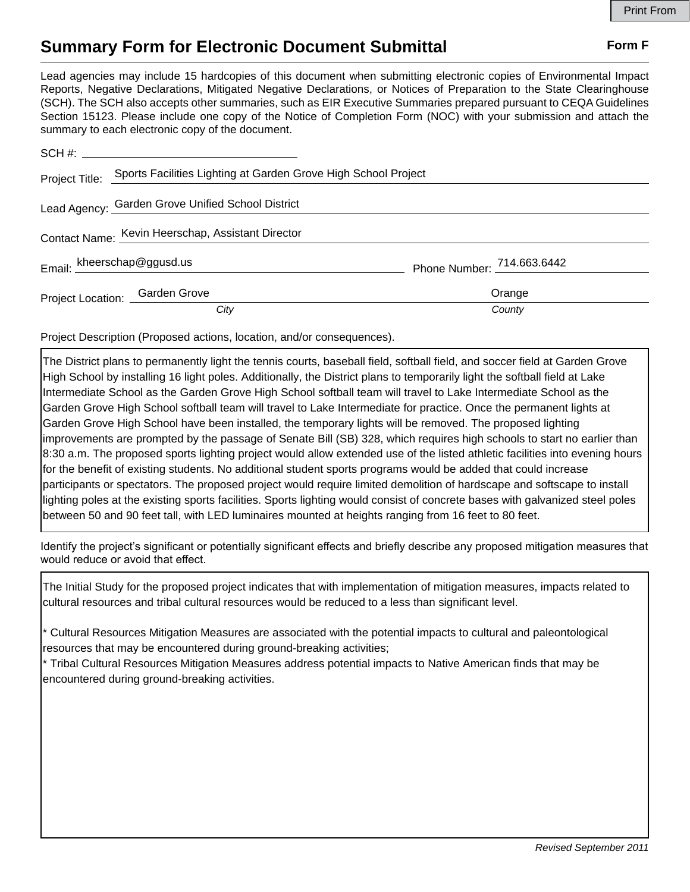## **Summary Form for Electronic Document Submittal Form F Form F**

Lead agencies may include 15 hardcopies of this document when submitting electronic copies of Environmental Impact Reports, Negative Declarations, Mitigated Negative Declarations, or Notices of Preparation to the State Clearinghouse (SCH). The SCH also accepts other summaries, such as EIR Executive Summaries prepared pursuant to CEQA Guidelines Section 15123. Please include one copy of the Notice of Completion Form (NOC) with your submission and attach the summary to each electronic copy of the document.

|                                                   | Project Title: Sports Facilities Lighting at Garden Grove High School Project |                            |
|---------------------------------------------------|-------------------------------------------------------------------------------|----------------------------|
|                                                   | Lead Agency: Garden Grove Unified School District                             |                            |
| Contact Name: Kevin Heerschap, Assistant Director |                                                                               |                            |
|                                                   | Email: kheerschap@ggusd.us                                                    | Phone Number: 714.663.6442 |
| Project Location: Garden Grove                    |                                                                               | Orange                     |
|                                                   | City                                                                          | County                     |

Project Description (Proposed actions, location, and/or consequences).

The District plans to permanently light the tennis courts, baseball field, softball field, and soccer field at Garden Grove High School by installing 16 light poles. Additionally, the District plans to temporarily light the softball field at Lake Intermediate School as the Garden Grove High School softball team will travel to Lake Intermediate School as the Garden Grove High School softball team will travel to Lake Intermediate for practice. Once the permanent lights at Garden Grove High School have been installed, the temporary lights will be removed. The proposed lighting improvements are prompted by the passage of Senate Bill (SB) 328, which requires high schools to start no earlier than 8:30 a.m. The proposed sports lighting project would allow extended use of the listed athletic facilities into evening hours for the benefit of existing students. No additional student sports programs would be added that could increase participants or spectators. The proposed project would require limited demolition of hardscape and softscape to install lighting poles at the existing sports facilities. Sports lighting would consist of concrete bases with galvanized steel poles between 50 and 90 feet tall, with LED luminaires mounted at heights ranging from 16 feet to 80 feet.

Identify the project's significant or potentially significant effects and briefly describe any proposed mitigation measures that would reduce or avoid that effect.

The Initial Study for the proposed project indicates that with implementation of mitigation measures, impacts related to cultural resources and tribal cultural resources would be reduced to a less than significant level.

\* Cultural Resources Mitigation Measures are associated with the potential impacts to cultural and paleontological resources that may be encountered during ground-breaking activities;

\* Tribal Cultural Resources Mitigation Measures address potential impacts to Native American finds that may be encountered during ground-breaking activities.